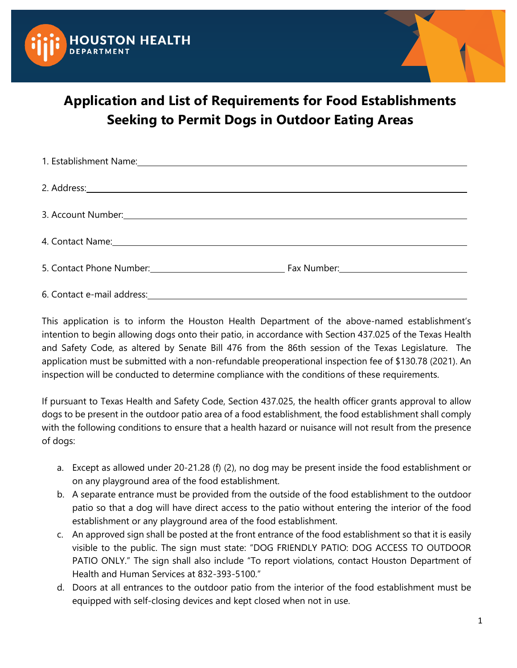



## **Application and List of Requirements for Food Establishments Seeking to Permit Dogs in Outdoor Eating Areas**

| 1. Establishment Name: 1. 2008 - 2. 2008 - 2. 2008 - 2. 2008 - 2. 2008 - 2. 2008 - 2. 2008 - 2. 2009 - 2. 2009                                                                                                                 |  |
|--------------------------------------------------------------------------------------------------------------------------------------------------------------------------------------------------------------------------------|--|
| 2. Address: 2. Address: 2. Address: 2. Address: 2. Address: 2. Address: 2. Address: 2. Address: 2. Address: 2. Address: 2. Address: 2. Address: 2. Address: 2. Address: 2. Address: 2. Address: 2. Address: 2. Address: 2. Add |  |
| 3. Account Number: 1988 and 1988 and 1988 and 1988 and 1988 and 1988 and 1988 and 1988 and 1988 and 1988 and 1                                                                                                                 |  |
| 4. Contact Name: 1. 1990 1. 2010 1. 2010 1. 2010 1. 2010 1. 2010 1. 2010 1. 2010 1. 2010 1. 2010 1. 2010 1. 20                                                                                                                 |  |
| 5. Contact Phone Number: 1.1 Contact Phone Number: 1.1 Contact Phone Number: 1.1 Contact Phone Number:                                                                                                                         |  |
|                                                                                                                                                                                                                                |  |

This application is to inform the Houston Health Department of the above-named establishment's intention to begin allowing dogs onto their patio, in accordance with Section 437.025 of the Texas Health and Safety Code, as altered by Senate Bill 476 from the 86th session of the Texas Legislature. The application must be submitted with a non-refundable preoperational inspection fee of \$130.78 (2021). An inspection will be conducted to determine compliance with the conditions of these requirements.

If pursuant to Texas Health and Safety Code, Section 437.025, the health officer grants approval to allow dogs to be present in the outdoor patio area of a food establishment, the food establishment shall comply with the following conditions to ensure that a health hazard or nuisance will not result from the presence of dogs:

- a. Except as allowed under 20-21.28 (f) (2), no dog may be present inside the food establishment or on any playground area of the food establishment.
- b. A separate entrance must be provided from the outside of the food establishment to the outdoor patio so that a dog will have direct access to the patio without entering the interior of the food establishment or any playground area of the food establishment.
- c. An approved sign shall be posted at the front entrance of the food establishment so that it is easily visible to the public. The sign must state: "DOG FRIENDLY PATIO: DOG ACCESS TO OUTDOOR PATIO ONLY." The sign shall also include "To report violations, contact Houston Department of Health and Human Services at 832-393-5100."
- d. Doors at all entrances to the outdoor patio from the interior of the food establishment must be equipped with self-closing devices and kept closed when not in use.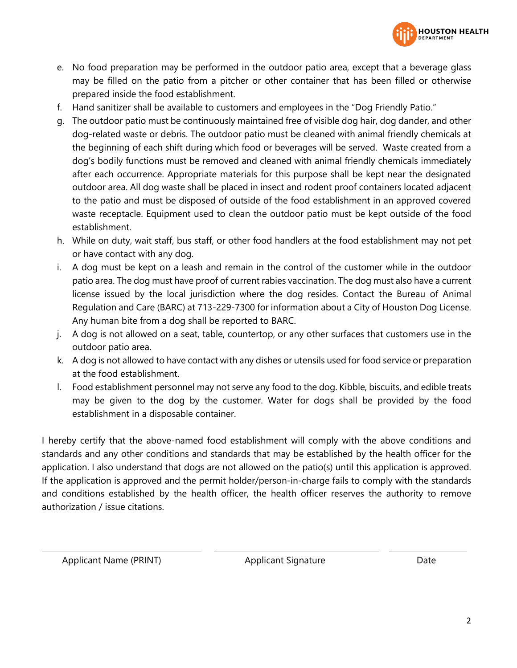

- e. No food preparation may be performed in the outdoor patio area, except that a beverage glass may be filled on the patio from a pitcher or other container that has been filled or otherwise prepared inside the food establishment.
- f. Hand sanitizer shall be available to customers and employees in the "Dog Friendly Patio."
- g. The outdoor patio must be continuously maintained free of visible dog hair, dog dander, and other dog-related waste or debris. The outdoor patio must be cleaned with animal friendly chemicals at the beginning of each shift during which food or beverages will be served. Waste created from a dog's bodily functions must be removed and cleaned with animal friendly chemicals immediately after each occurrence. Appropriate materials for this purpose shall be kept near the designated outdoor area. All dog waste shall be placed in insect and rodent proof containers located adjacent to the patio and must be disposed of outside of the food establishment in an approved covered waste receptacle. Equipment used to clean the outdoor patio must be kept outside of the food establishment.
- h. While on duty, wait staff, bus staff, or other food handlers at the food establishment may not pet or have contact with any dog.
- i. A dog must be kept on a leash and remain in the control of the customer while in the outdoor patio area. The dog must have proof of current rabies vaccination. The dog must also have a current license issued by the local jurisdiction where the dog resides. Contact the Bureau of Animal Regulation and Care (BARC) at 713-229-7300 for information about a City of Houston Dog License. Any human bite from a dog shall be reported to BARC.
- j. A dog is not allowed on a seat, table, countertop, or any other surfaces that customers use in the outdoor patio area.
- k. A dog is not allowed to have contact with any dishes or utensils used for food service or preparation at the food establishment.
- l. Food establishment personnel may not serve any food to the dog. Kibble, biscuits, and edible treats may be given to the dog by the customer. Water for dogs shall be provided by the food establishment in a disposable container.

I hereby certify that the above-named food establishment will comply with the above conditions and standards and any other conditions and standards that may be established by the health officer for the application. I also understand that dogs are not allowed on the patio(s) until this application is approved. If the application is approved and the permit holder/person-in-charge fails to comply with the standards and conditions established by the health officer, the health officer reserves the authority to remove authorization / issue citations.

Applicant Name (PRINT) Applicant Signature Date

 $\overline{\phantom{a}}$